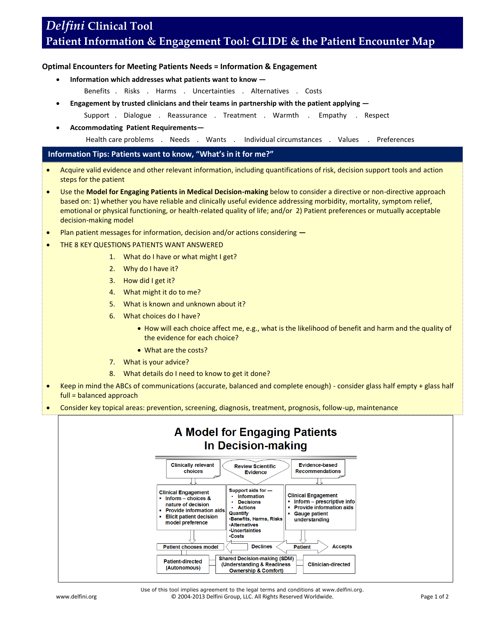## *Delfini* **Clinical Tool Patient Information & Engagement Tool: GLIDE & the Patient Encounter Map**

## **Optimal Encounters for Meeting Patients Needs = Information & Engagement**

- **Information which addresses what patients want to know —**
	- Benefits . Risks . Harms . Uncertainties . Alternatives . Costs
- **Engagement by trusted clinicians and their teams in partnership with the patient applying —**
	- Support . Dialogue . Reassurance . Treatment . Warmth . Empathy . Respect
- **Accommodating Patient Requirements—**

Health care problems . Needs . Wants . Individual circumstances . Values . Preferences

## **Information Tips: Patients want to know, "What's in it for me?"**

- Acquire valid evidence and other relevant information, including quantifications of risk, decision support tools and action steps for the patient
- Use the **Model for Engaging Patients in Medical Decision-making** below to consider a directive or non-directive approach based on: 1) whether you have reliable and clinically useful evidence addressing morbidity, mortality, symptom relief, emotional or physical functioning, or health-related quality of life; and/or 2) Patient preferences or mutually acceptable decision-making model
- Plan patient messages for information, decision and/or actions considering **—**
- THE 8 KEY QUESTIONS PATIENTS WANT ANSWERED
	- 1. What do I have or what might I get?
	- 2. Why do I have it?
	- 3. How did I get it?
	- 4. What might it do to me?
	- 5. What is known and unknown about it?
	- 6. What choices do I have?
		- How will each choice affect me, e.g., what is the likelihood of benefit and harm and the quality of the evidence for each choice?
		- What are the costs?
	- 7. What is your advice?
	- 8. What details do I need to know to get it done?
- Keep in mind the ABCs of communications (accurate, balanced and complete enough) consider glass half empty + glass half full = balanced approach
- Consider key topical areas: prevention, screening, diagnosis, treatment, prognosis, follow-up, maintenance